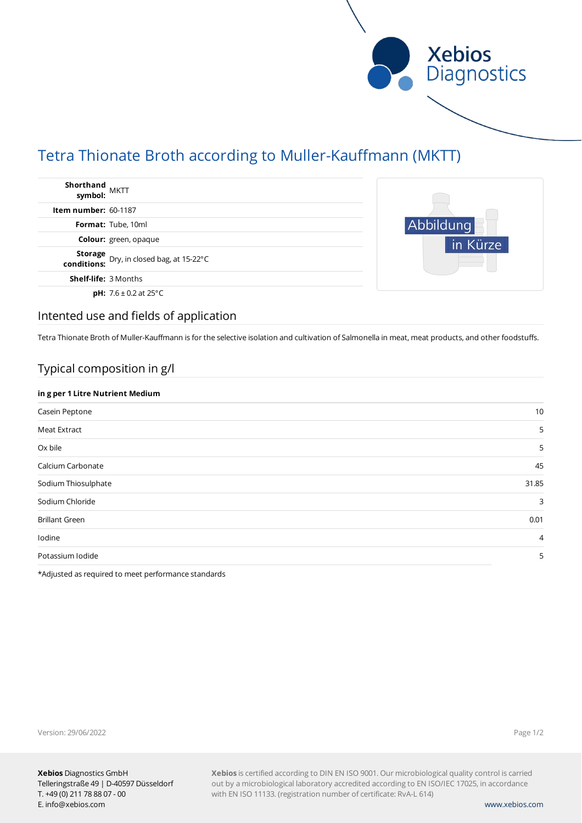

# Tetra Thionate Broth according to Muller-Kauffmann (MKTT)

| Shorthand<br>symbol: MKTT   |                                                           |
|-----------------------------|-----------------------------------------------------------|
| <b>Item number: 60-1187</b> |                                                           |
|                             | Format: Tube, 10ml                                        |
|                             | Colour: green, opaque                                     |
|                             | <b>Storage</b> Dry, in closed bag, at 15-22°C conditions: |
| <b>Shelf-life: 3 Months</b> |                                                           |
|                             | <b>pH:</b> $7.6 \pm 0.2$ at 25°C                          |



### Intented use and fields of application

Tetra Thionate Broth of Muller-Kauffmann is for the selective isolation and cultivation of Salmonella in meat, meat products, and other foodstuffs.

# Typical composition in g/l

| Casein Peptone<br>Meat Extract<br>Ox bile | in g per 1 Litre Nutrient Medium |  |  |  |  |
|-------------------------------------------|----------------------------------|--|--|--|--|
|                                           | 10                               |  |  |  |  |
|                                           | 5                                |  |  |  |  |
|                                           | 5                                |  |  |  |  |
| Calcium Carbonate                         | 45                               |  |  |  |  |
| Sodium Thiosulphate                       | 31.85                            |  |  |  |  |
| Sodium Chloride                           | 3                                |  |  |  |  |
| <b>Brillant Green</b>                     | 0.01                             |  |  |  |  |
| Iodine                                    | $\overline{4}$                   |  |  |  |  |
| Potassium Iodide                          | 5                                |  |  |  |  |

\*Adjusted as required to meet performance standards

Version: 29/06/2022

Page 1/2

**Xebios** is certified according to DIN EN ISO 9001. Our microbiological quality control is carried out by a microbiological laboratory accredited according to EN ISO/IEC 17025, in accordance with EN ISO 11133. (registration number of certificate: RvA-L 614)